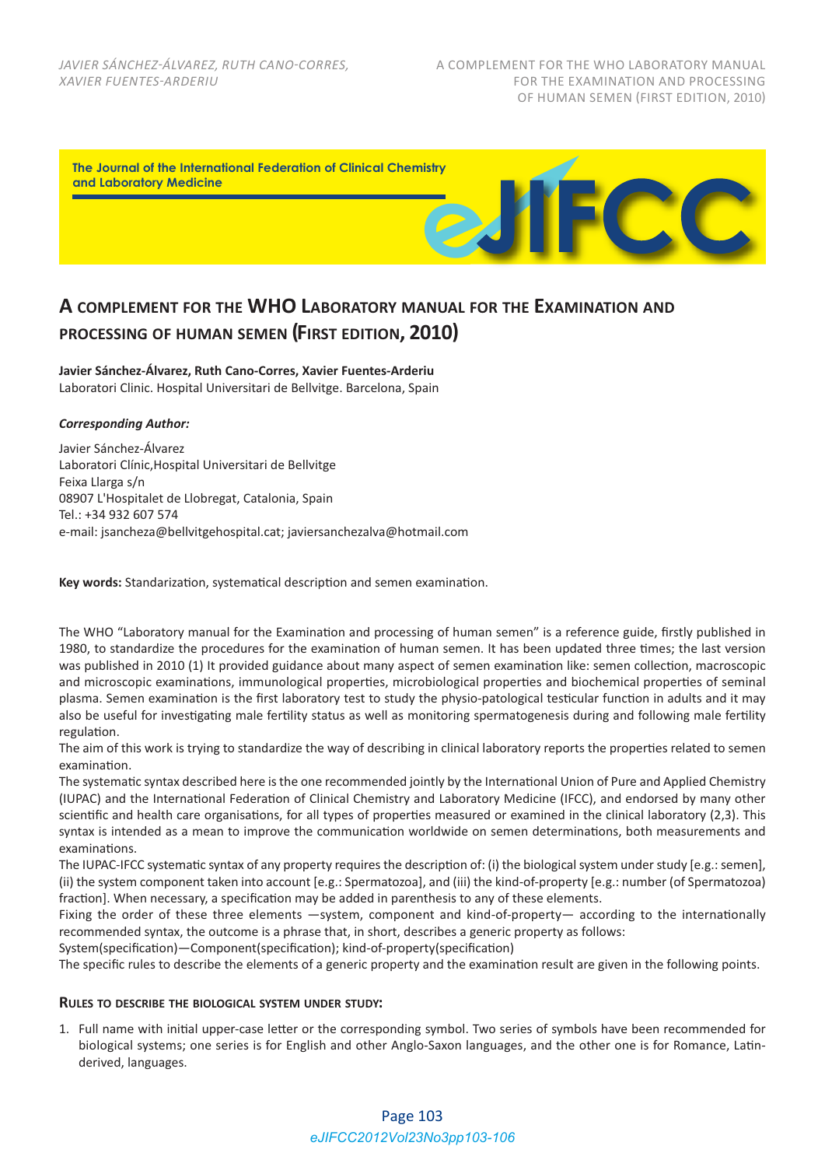

# **A COMPLEMENT FOR THE WHO LABORATORY MANUAL FOR THE EXAMINATION AND PROCESSING OF HUMAN SEMEN (FIRST EDITION, 2010)**

**Javier Sánchez‐Álvarez, Ruth Cano‐Corres, Xavier Fuentes‐Arderiu** Laboratori Clinic. Hospital Universitari de Bellvitge. Barcelona, Spain

## *Corresponding Author:*

Javier Sánchez‐Álvarez Laboratori Clínic,Hospital Universitari de Bellvitge Feixa Llarga s/n 08907 L'Hospitalet de Llobregat, Catalonia, Spain Tel.: +34 932 607 574 e‐mail: jsancheza@bellvitgehospital.cat; javiersanchezalva@hotmail.com

**Key words:** Standarization, systematical description and semen examination.

The WHO "Laboratory manual for the Examination and processing of human semen" is a reference guide, firstly published in 1980, to standardize the procedures for the examination of human semen. It has been updated three times; the last version was published in 2010 (1) It provided guidance about many aspect of semen examination like: semen collection, macroscopic and microscopic examinations, immunological properties, microbiological properties and biochemical properties of seminal plasma. Semen examination is the first laboratory test to study the physio‐patological testicular function in adults and it may also be useful for investigating male fertility status as well as monitoring spermatogenesis during and following male fertility regulation.

The aim of this work is trying to standardize the way of describing in clinical laboratory reports the properties related to semen examination.

The systematic syntax described here is the one recommended jointly by the International Union of Pure and Applied Chemistry (IUPAC) and the International Federation of Clinical Chemistry and Laboratory Medicine (IFCC), and endorsed by many other scientific and health care organisations, for all types of properties measured or examined in the clinical laboratory (2,3). This syntax is intended as a mean to improve the communication worldwide on semen determinations, both measurements and examinations.

The IUPAC-IFCC systematic syntax of any property requires the description of: (i) the biological system under study [e.g.: semen], (ii) the system component taken into account [e.g.: Spermatozoa], and (iii) the kind‐of‐property [e.g.: number (of Spermatozoa) fraction]. When necessary, a specification may be added in parenthesis to any of these elements.

Fixing the order of these three elements —system, component and kind-of-property— according to the internationally recommended syntax, the outcome is a phrase that, in short, describes a generic property as follows:

System(specification)—Component(specification); kind-of-property(specification)

The specific rules to describe the elements of a generic property and the examination result are given in the following points.

## **RULES TO DESCRIBE THE BIOLOGICAL SYSTEM UNDER STUDY:**

1. Full name with initial upper‐case letter or the corresponding symbol. Two series of symbols have been recommended for biological systems; one series is for English and other Anglo-Saxon languages, and the other one is for Romance, Latinderived, languages.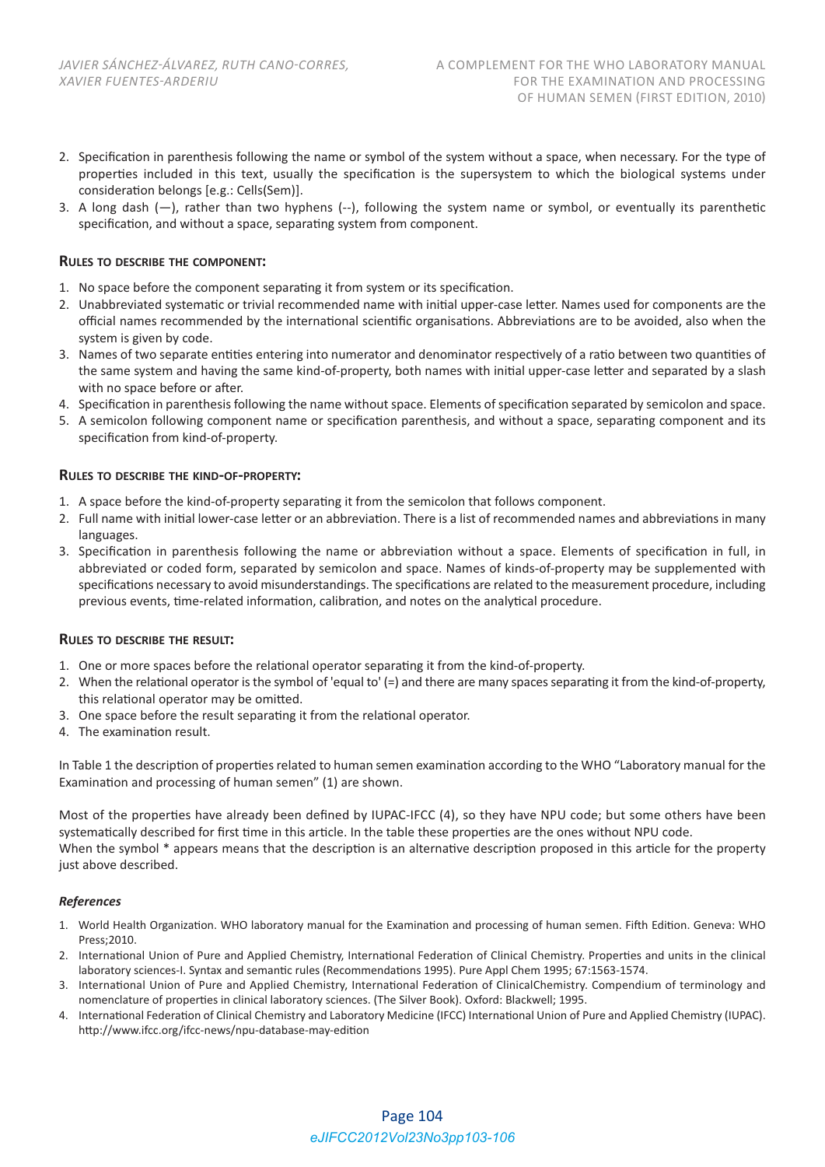- 2. Specification in parenthesis following the name or symbol of the system without a space, when necessary. For the type of properties included in this text, usually the specification is the supersystem to which the biological systems under consideration belongs [e.g.: Cells(Sem)].
- 3. A long dash  $(-)$ , rather than two hyphens  $(-)$ , following the system name or symbol, or eventually its parenthetic specification, and without a space, separating system from component.

## **RULES TO DESCRIBE THE COMPONENT:**

- 1. No space before the component separating it from system or its specification.
- 2. Unabbreviated systematic or trivial recommended name with initial upper‐case letter. Names used for components are the official names recommended by the international scientific organisations. Abbreviations are to be avoided, also when the system is given by code.
- 3. Names of two separate entities entering into numerator and denominator respectively of a ratio between two quantities of the same system and having the same kind‐of‐property, both names with initial upper‐case letter and separated by a slash with no space before or after.
- 4. Specification in parenthesis following the name without space. Elements of specification separated by semicolon and space.
- 5. A semicolon following component name or specification parenthesis, and without a space, separating component and its specification from kind‐of‐property.

## **RULES TO DESCRIBE THE KIND‐OF‐PROPERTY:**

- 1. A space before the kind‐of‐property separating it from the semicolon that follows component.
- 2. Full name with initial lower-case letter or an abbreviation. There is a list of recommended names and abbreviations in many languages.
- 3. Specification in parenthesis following the name or abbreviation without a space. Elements of specification in full, in abbreviated or coded form, separated by semicolon and space. Names of kinds‐of‐property may be supplemented with specifications necessary to avoid misunderstandings. The specifications are related to the measurement procedure, including previous events, time-related information, calibration, and notes on the analytical procedure.

## **RULES TO DESCRIBE THE RESULT:**

- 1. One or more spaces before the relational operator separating it from the kind-of-property.
- 2. When the relational operator is the symbol of 'equal to' (=) and there are many spaces separating it from the kind‐of‐property, this relational operator may be omitted.
- 3. One space before the result separating it from the relational operator.
- 4. The examination result.

In Table 1 the description of properties related to human semen examination according to the WHO "Laboratory manual for the Examination and processing of human semen" (1) are shown.

Most of the properties have already been defined by IUPAC-IFCC (4), so they have NPU code; but some others have been systematically described for first time in this article. In the table these properties are the ones without NPU code. When the symbol \* appears means that the description is an alternative description proposed in this article for the property just above described.

## *References*

- 1. World Health Organization. WHO laboratory manual for the Examination and processing of human semen. Fifth Edition. Geneva: WHO Press;2010.
- 2. International Union of Pure and Applied Chemistry, International Federation of Clinical Chemistry. Properties and units in the clinical laboratory sciences‐I. Syntax and semantic rules (Recommendations 1995). Pure Appl Chem 1995; 67:1563‐1574.
- 3. International Union of Pure and Applied Chemistry, International Federation of ClinicalChemistry. Compendium of terminology and nomenclature of properties in clinical laboratory sciences. (The Silver Book). Oxford: Blackwell; 1995.
- 4. International Federation of Clinical Chemistry and Laboratory Medicine (IFCC) International Union of Pure and Applied Chemistry (IUPAC). http://www.ifcc.org/ifcc‐news/npu‐database‐may‐edition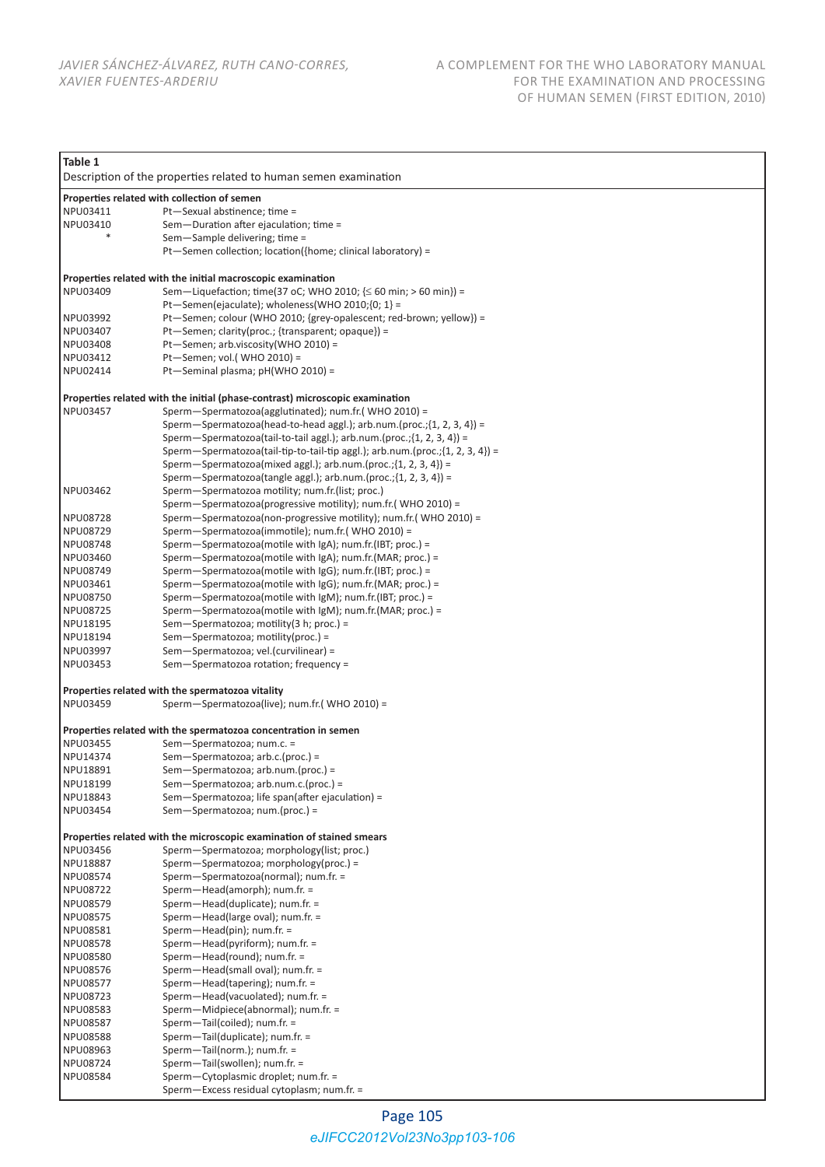| Table 1                                                                      |                                                                                                                        |  |
|------------------------------------------------------------------------------|------------------------------------------------------------------------------------------------------------------------|--|
|                                                                              | Description of the properties related to human semen examination                                                       |  |
| Properties related with collection of semen                                  |                                                                                                                        |  |
| NPU03411                                                                     | Pt-Sexual abstinence; time =                                                                                           |  |
| NPU03410                                                                     | Sem-Duration after ejaculation; time =                                                                                 |  |
|                                                                              | Sem-Sample delivering; time =                                                                                          |  |
|                                                                              | Pt-Semen collection; location({home; clinical laboratory) =                                                            |  |
|                                                                              |                                                                                                                        |  |
|                                                                              | Properties related with the initial macroscopic examination                                                            |  |
| NPU03409                                                                     | Sem—Liquefaction; time(37 oC; WHO 2010; $\leq 60$ min; > 60 min}) =                                                    |  |
|                                                                              | Pt-Semen(ejaculate); wholeness(WHO 2010; {0; 1} =                                                                      |  |
| NPU03992                                                                     | Pt-Semen; colour (WHO 2010; {grey-opalescent; red-brown; yellow}) =                                                    |  |
| NPU03407                                                                     | Pt-Semen; clarity(proc.; {transparent; opaque}) =                                                                      |  |
| NPU03408                                                                     | Pt-Semen; arb.viscosity(WHO 2010) =                                                                                    |  |
| NPU03412                                                                     | Pt-Semen; vol.(WHO 2010) =                                                                                             |  |
| NPU02414                                                                     | Pt-Seminal plasma; pH(WHO 2010) =                                                                                      |  |
| Properties related with the initial (phase-contrast) microscopic examination |                                                                                                                        |  |
| NPU03457                                                                     | Sperm-Spermatozoa(agglutinated); num.fr.( WHO 2010) =                                                                  |  |
|                                                                              | Sperm—Spermatozoa(head-to-head aggl.); arb.num.(proc.; $\{1, 2, 3, 4\}$ ) =                                            |  |
|                                                                              | Sperm-Spermatozoa(tail-to-tail aggl.); arb.num.(proc.;{1, 2, 3, 4}) =                                                  |  |
|                                                                              | Sperm-Spermatozoa(tail-tip-to-tail-tip aggl.); arb.num.(proc.; {1, 2, 3, 4}) =                                         |  |
|                                                                              | Sperm-Spermatozoa(mixed aggl.); arb.num.(proc.; $\{1, 2, 3, 4\}$ ) =                                                   |  |
|                                                                              | Sperm-Spermatozoa(tangle aggl.); $arb.num.(proc.;\{1, 2, 3, 4\}) =$                                                    |  |
| NPU03462                                                                     | Sperm-Spermatozoa motility; num.fr. (list; proc.)                                                                      |  |
|                                                                              | Sperm-Spermatozoa(progressive motility); num.fr.(WHO 2010) =                                                           |  |
| NPU08728                                                                     | Sperm-Spermatozoa(non-progressive motility); num.fr.( WHO 2010) =                                                      |  |
| NPU08729                                                                     | Sperm-Spermatozoa(immotile); num.fr.( WHO 2010) =                                                                      |  |
| NPU08748                                                                     | Sperm-Spermatozoa(motile with IgA); num.fr.(IBT; proc.) =                                                              |  |
| NPU03460                                                                     | Sperm-Spermatozoa(motile with IgA); num.fr.(MAR; proc.) =                                                              |  |
| NPU08749<br>NPU03461                                                         | Sperm-Spermatozoa(motile with IgG); num.fr.(IBT; proc.) =                                                              |  |
| NPU08750                                                                     | Sperm-Spermatozoa(motile with IgG); num.fr.(MAR; proc.) =<br>Sperm-Spermatozoa(motile with IgM); num.fr.(IBT; proc.) = |  |
| NPU08725                                                                     | Sperm—Spermatozoa(motile with $\vert$ gM); num.fr.(MAR; proc.) =                                                       |  |
| NPU18195                                                                     | Sem-Spermatozoa; motility(3 h; proc.) =                                                                                |  |
| NPU18194                                                                     | Sem-Spermatozoa; motility(proc.) =                                                                                     |  |
| NPU03997                                                                     | Sem-Spermatozoa; vel.(curvilinear) =                                                                                   |  |
| NPU03453                                                                     | Sem-Spermatozoa rotation; frequency =                                                                                  |  |
|                                                                              |                                                                                                                        |  |
| Properties related with the spermatozoa vitality                             |                                                                                                                        |  |
| NPU03459                                                                     | Sperm-Spermatozoa(live); num.fr.(WHO 2010) =                                                                           |  |
|                                                                              |                                                                                                                        |  |
|                                                                              | Properties related with the spermatozoa concentration in semen                                                         |  |
| NPU03455<br>NPU14374                                                         | Sem-Spermatozoa; num.c. =<br>Sem-Spermatozoa; arb.c.(proc.) =                                                          |  |
| NPU18891                                                                     | Sem-Spermatozoa; arb.num.(proc.) =                                                                                     |  |
| NPU18199                                                                     | Sem-Spermatozoa; arb.num.c.(proc.) =                                                                                   |  |
| NPU18843                                                                     | Sem-Spermatozoa; life span(after ejaculation) =                                                                        |  |
| NPU03454                                                                     | Sem-Spermatozoa; num.(proc.) =                                                                                         |  |
|                                                                              |                                                                                                                        |  |
| Properties related with the microscopic examination of stained smears        |                                                                                                                        |  |
| NPU03456                                                                     | Sperm-Spermatozoa; morphology(list; proc.)                                                                             |  |
| NPU18887                                                                     | Sperm-Spermatozoa; morphology(proc.) =                                                                                 |  |
| NPU08574                                                                     | Sperm-Spermatozoa(normal); num.fr. =                                                                                   |  |
| NPU08722                                                                     | Sperm-Head(amorph); num.fr. =                                                                                          |  |
| NPU08579                                                                     | Sperm-Head(duplicate); num.fr. =                                                                                       |  |
| NPU08575<br>NPU08581                                                         | Sperm-Head(large oval); num.fr. =<br>Sperm-Head(pin); num.fr. =                                                        |  |
| NPU08578                                                                     | Sperm-Head(pyriform); num.fr. =                                                                                        |  |
| NPU08580                                                                     | Sperm-Head(round); num.fr. =                                                                                           |  |
| NPU08576                                                                     | Sperm-Head(small oval); num.fr. =                                                                                      |  |
| NPU08577                                                                     | Sperm-Head(tapering); num.fr. =                                                                                        |  |
| NPU08723                                                                     | Sperm-Head(vacuolated); num.fr. =                                                                                      |  |
| NPU08583                                                                     | Sperm-Midpiece(abnormal); num.fr. =                                                                                    |  |
| NPU08587                                                                     | Sperm-Tail(coiled); num.fr. =                                                                                          |  |
| NPU08588                                                                     | Sperm-Tail(duplicate); num.fr. =                                                                                       |  |
| NPU08963                                                                     | Sperm-Tail(norm.); num.fr. =                                                                                           |  |
| NPU08724                                                                     | Sperm-Tail(swollen); num.fr. =                                                                                         |  |
| <b>NPU08584</b>                                                              | Sperm-Cytoplasmic droplet; num.fr. =                                                                                   |  |
|                                                                              | Sperm-Excess residual cytoplasm; num.fr. =                                                                             |  |